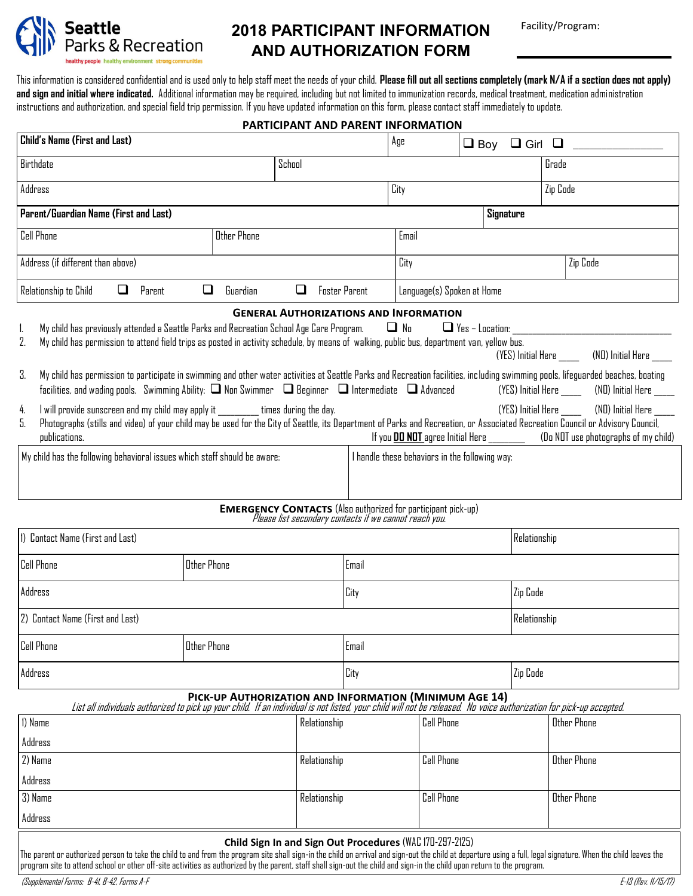

# **2018 PARTICIPANT INFORMATION AND AUTHORIZATION FORM**

Facility/Program:

This information is considered confidential and is used only to help staff meet the needs of your child. **Please fill out all sections completely (mark N/A if a section does not apply)**  and sign and initial where indicated. Additional information may be required, including but not limited to immunization records, medical treatment, medication administration instructions and authorization, and special field trip permission. If you have updated information on this form, please contact staff immediately to update.

## **PARTICIPANT AND PARENT INFORMATION**

| Child's Name (First and Last)                                                                                                                                                                                                                                                                                                                                                                                                                                                                                                                                                                                                                                                                                |              |                                                                                                                                      | Age               | $\Box$ Boy        | $\Box$ Girl $\Box$ |                    |                    |  |
|--------------------------------------------------------------------------------------------------------------------------------------------------------------------------------------------------------------------------------------------------------------------------------------------------------------------------------------------------------------------------------------------------------------------------------------------------------------------------------------------------------------------------------------------------------------------------------------------------------------------------------------------------------------------------------------------------------------|--------------|--------------------------------------------------------------------------------------------------------------------------------------|-------------------|-------------------|--------------------|--------------------|--------------------|--|
| Birthdate                                                                                                                                                                                                                                                                                                                                                                                                                                                                                                                                                                                                                                                                                                    | School       |                                                                                                                                      |                   |                   |                    | Grade              |                    |  |
| Address                                                                                                                                                                                                                                                                                                                                                                                                                                                                                                                                                                                                                                                                                                      |              |                                                                                                                                      | City              |                   |                    | Zip Code           |                    |  |
| Parent/Guardian Name (First and Last)<br>Signature                                                                                                                                                                                                                                                                                                                                                                                                                                                                                                                                                                                                                                                           |              |                                                                                                                                      |                   |                   |                    |                    |                    |  |
| <b>Cell Phone</b><br>Other Phone<br>Email                                                                                                                                                                                                                                                                                                                                                                                                                                                                                                                                                                                                                                                                    |              |                                                                                                                                      |                   |                   |                    |                    |                    |  |
| Address (if different than above)                                                                                                                                                                                                                                                                                                                                                                                                                                                                                                                                                                                                                                                                            |              |                                                                                                                                      | City              |                   |                    |                    | Zip Code           |  |
| Language(s) Spoken at Home<br>Relationship to Child<br>$\Box$<br>Parent<br>❏<br>Guardian<br>□<br><b>Foster Parent</b>                                                                                                                                                                                                                                                                                                                                                                                                                                                                                                                                                                                        |              |                                                                                                                                      |                   |                   |                    |                    |                    |  |
| <b>GENERAL AUTHORIZATIONS AND INFORMATION</b>                                                                                                                                                                                                                                                                                                                                                                                                                                                                                                                                                                                                                                                                |              |                                                                                                                                      |                   |                   |                    |                    |                    |  |
| My child has previously attended a Seattle Parks and Recreation School Age Care Program.<br>$\Box$ No<br>$\Box$ Yes - Location:<br>1.<br>2.<br>My child has permission to attend field trips as posted in activity schedule, by means of walking, public bus, department van, yellow bus.<br>(YES) Initial Here (ND) Initial Here<br>3.<br>My child has permission to participate in swimming and other water activities at Seattle Parks and Recreation facilities, including swimming pools, lifeguarded beaches, boating<br>facilities, and wading pools. Swimming Ability: $\Box$ Non Swimmer $\Box$ Beginner $\Box$ Intermediate $\Box$ Advanced<br>(YES) Initial Here ________ (NO) Initial Here _____ |              |                                                                                                                                      |                   |                   |                    |                    |                    |  |
| I will provide sunscreen and my child may apply it will be settimes during the day.<br>(YES) Initial Here<br>(ND) Initial Here<br>4.<br>5.<br>Photographs (stills and video) of your child may be used for the City of Seattle, its Department of Parks and Recreation, or Associated Recreation Council or Advisory Council,<br>If you <b>DO NOT</b> agree Initial Here _________________(Do NOT use photographs of my child)<br>publications.                                                                                                                                                                                                                                                              |              |                                                                                                                                      |                   |                   |                    |                    |                    |  |
| My child has the following behavioral issues which staff should be aware:<br>I handle these behaviors in the following way:                                                                                                                                                                                                                                                                                                                                                                                                                                                                                                                                                                                  |              |                                                                                                                                      |                   |                   |                    |                    |                    |  |
|                                                                                                                                                                                                                                                                                                                                                                                                                                                                                                                                                                                                                                                                                                              |              | <b>EMERGENCY CONTACTS</b> (Also authorized for participant pick-up)<br><i>Please list secondary contacts if we cannot reach you.</i> |                   |                   |                    |                    |                    |  |
| 1) Contact Name (First and Last)                                                                                                                                                                                                                                                                                                                                                                                                                                                                                                                                                                                                                                                                             |              | Relationship                                                                                                                         |                   |                   |                    |                    |                    |  |
| <b>Cell Phone</b><br><b>Other Phone</b><br>Email                                                                                                                                                                                                                                                                                                                                                                                                                                                                                                                                                                                                                                                             |              |                                                                                                                                      |                   |                   |                    |                    |                    |  |
| Address                                                                                                                                                                                                                                                                                                                                                                                                                                                                                                                                                                                                                                                                                                      | City         |                                                                                                                                      |                   | Zip Code          |                    |                    |                    |  |
| 2) Contact Name (First and Last)                                                                                                                                                                                                                                                                                                                                                                                                                                                                                                                                                                                                                                                                             |              |                                                                                                                                      |                   | Relationship      |                    |                    |                    |  |
| <b>Cell Phone</b>                                                                                                                                                                                                                                                                                                                                                                                                                                                                                                                                                                                                                                                                                            | Email        |                                                                                                                                      |                   |                   |                    |                    |                    |  |
| Address                                                                                                                                                                                                                                                                                                                                                                                                                                                                                                                                                                                                                                                                                                      |              |                                                                                                                                      | City              |                   |                    | Zip Code           |                    |  |
| PICK-UP AUTHORIZATION AND INFORMATION (MINIMUM AGE 14)<br>List all individuals authorized to pick up your child. If an individual is not listed, your child will not be released. No voice authorization for pick-up accepted.                                                                                                                                                                                                                                                                                                                                                                                                                                                                               |              |                                                                                                                                      |                   |                   |                    |                    |                    |  |
| 1) Name                                                                                                                                                                                                                                                                                                                                                                                                                                                                                                                                                                                                                                                                                                      | Relationship |                                                                                                                                      | <b>Cell Phone</b> |                   |                    | <b>Other Phone</b> |                    |  |
| Address                                                                                                                                                                                                                                                                                                                                                                                                                                                                                                                                                                                                                                                                                                      |              |                                                                                                                                      |                   |                   |                    |                    |                    |  |
| 2) Name                                                                                                                                                                                                                                                                                                                                                                                                                                                                                                                                                                                                                                                                                                      |              | Relationship                                                                                                                         |                   | <b>Cell Phone</b> |                    |                    | <b>Other Phone</b> |  |
| Address                                                                                                                                                                                                                                                                                                                                                                                                                                                                                                                                                                                                                                                                                                      |              |                                                                                                                                      |                   |                   |                    |                    |                    |  |
| 3) Name                                                                                                                                                                                                                                                                                                                                                                                                                                                                                                                                                                                                                                                                                                      |              | Relationship                                                                                                                         |                   | <b>Cell Phone</b> |                    |                    | <b>Other Phone</b> |  |
| Address                                                                                                                                                                                                                                                                                                                                                                                                                                                                                                                                                                                                                                                                                                      |              |                                                                                                                                      |                   |                   |                    |                    |                    |  |
|                                                                                                                                                                                                                                                                                                                                                                                                                                                                                                                                                                                                                                                                                                              |              | Child Sign In and Sign Out Procedures (WAC 170-297-2125)                                                                             |                   |                   |                    |                    |                    |  |

The parent or authorized person to take the child to and from the program site shall sign-in the child on arrival and sign-out the child at departure using a full, legal signature. When the child leaves the program site to attend school or other off-site activities as authorized by the parent, staff shall sign-out the child and sign-in the child upon return to the program.